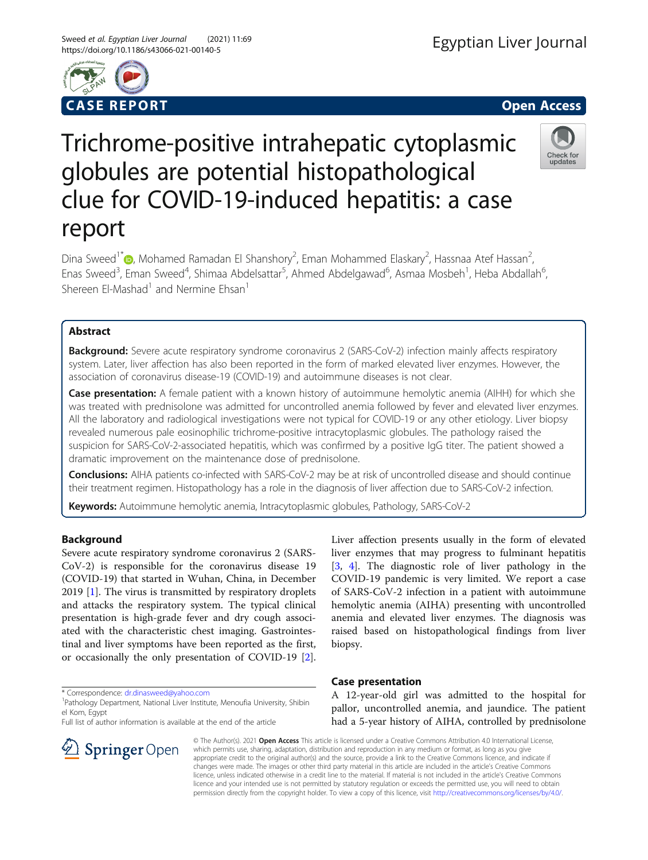



# Trichrome-positive intrahepatic cytoplasmic globules are potential histopathological clue for COVID-19-induced hepatitis: a case report



Dina Sweed<sup>1\*</sup> (D)[,](http://orcid.org/0000-0001-6483-5056) Mohamed Ramadan El Shanshory<sup>2</sup>, Eman Mohammed Elaskary<sup>2</sup>, Hassnaa Atef Hassan<sup>2</sup> .<br>, Enas Sweed<sup>3</sup>, Eman Sweed<sup>4</sup>, Shimaa Abdelsattar<sup>5</sup>, Ahmed Abdelgawad<sup>6</sup>, Asmaa Mosbeh<sup>1</sup>, Heba Abdallah<sup>6</sup> י<br>, Shereen El-Mashad<sup>1</sup> and Nermine Ehsan<sup>1</sup>

# Abstract

**Background:** Severe acute respiratory syndrome coronavirus 2 (SARS-CoV-2) infection mainly affects respiratory system. Later, liver affection has also been reported in the form of marked elevated liver enzymes. However, the association of coronavirus disease-19 (COVID-19) and autoimmune diseases is not clear.

Case presentation: A female patient with a known history of autoimmune hemolytic anemia (AIHH) for which she was treated with prednisolone was admitted for uncontrolled anemia followed by fever and elevated liver enzymes. All the laboratory and radiological investigations were not typical for COVID-19 or any other etiology. Liver biopsy revealed numerous pale eosinophilic trichrome-positive intracytoplasmic globules. The pathology raised the suspicion for SARS-CoV-2-associated hepatitis, which was confirmed by a positive IgG titer. The patient showed a dramatic improvement on the maintenance dose of prednisolone.

Conclusions: AIHA patients co-infected with SARS-CoV-2 may be at risk of uncontrolled disease and should continue their treatment regimen. Histopathology has a role in the diagnosis of liver affection due to SARS-CoV-2 infection.

Keywords: Autoimmune hemolytic anemia, Intracytoplasmic globules, Pathology, SARS-CoV-2

# Background

Severe acute respiratory syndrome coronavirus 2 (SARS-CoV-2) is responsible for the coronavirus disease 19 (COVID-19) that started in Wuhan, China, in December 2019 [[1](#page-2-0)]. The virus is transmitted by respiratory droplets and attacks the respiratory system. The typical clinical presentation is high-grade fever and dry cough associated with the characteristic chest imaging. Gastrointestinal and liver symptoms have been reported as the first, or occasionally the only presentation of COVID-19 [\[2](#page-3-0)].

\* Correspondence: [dr.dinasweed@yahoo.com](mailto:dr.dinasweed@yahoo.com) <sup>1</sup>

Full list of author information is available at the end of the article



Liver affection presents usually in the form of elevated liver enzymes that may progress to fulminant hepatitis [[3,](#page-3-0) [4\]](#page-3-0). The diagnostic role of liver pathology in the COVID-19 pandemic is very limited. We report a case of SARS-CoV-2 infection in a patient with autoimmune hemolytic anemia (AIHA) presenting with uncontrolled anemia and elevated liver enzymes. The diagnosis was raised based on histopathological findings from liver biopsy.

# Case presentation

A 12-year-old girl was admitted to the hospital for pallor, uncontrolled anemia, and jaundice. The patient had a 5-year history of AIHA, controlled by prednisolone

© The Author(s). 2021 Open Access This article is licensed under a Creative Commons Attribution 4.0 International License, which permits use, sharing, adaptation, distribution and reproduction in any medium or format, as long as you give appropriate credit to the original author(s) and the source, provide a link to the Creative Commons licence, and indicate if changes were made. The images or other third party material in this article are included in the article's Creative Commons licence, unless indicated otherwise in a credit line to the material. If material is not included in the article's Creative Commons licence and your intended use is not permitted by statutory regulation or exceeds the permitted use, you will need to obtain permission directly from the copyright holder. To view a copy of this licence, visit <http://creativecommons.org/licenses/by/4.0/>.

<sup>&</sup>lt;sup>1</sup> Pathology Department, National Liver Institute, Menoufia University, Shibin el Kom, Egypt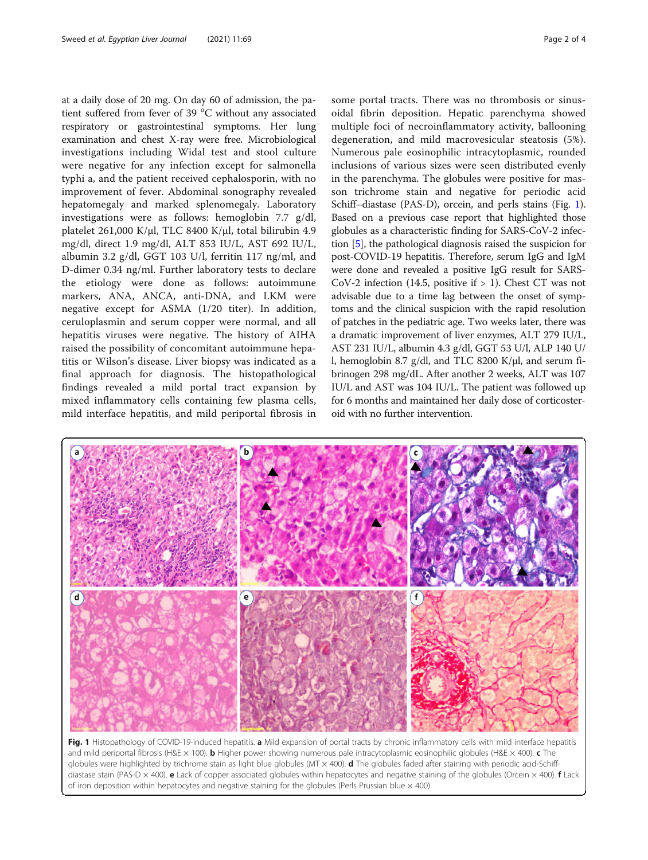at a daily dose of 20 mg. On day 60 of admission, the patient suffered from fever of 39  $^{\circ}$ C without any associated respiratory or gastrointestinal symptoms. Her lung examination and chest X-ray were free. Microbiological investigations including Widal test and stool culture were negative for any infection except for salmonella typhi a, and the patient received cephalosporin, with no improvement of fever. Abdominal sonography revealed hepatomegaly and marked splenomegaly. Laboratory investigations were as follows: hemoglobin 7.7 g/dl, platelet 261,000 K/μl, TLC 8400 K/μl, total bilirubin 4.9 mg/dl, direct 1.9 mg/dl, ALT 853 IU/L, AST 692 IU/L, albumin 3.2 g/dl, GGT 103 U/l, ferritin 117 ng/ml, and D-dimer 0.34 ng/ml. Further laboratory tests to declare the etiology were done as follows: autoimmune markers, ANA, ANCA, anti-DNA, and LKM were negative except for ASMA (1/20 titer). In addition, ceruloplasmin and serum copper were normal, and all hepatitis viruses were negative. The history of AIHA raised the possibility of concomitant autoimmune hepatitis or Wilson's disease. Liver biopsy was indicated as a final approach for diagnosis. The histopathological findings revealed a mild portal tract expansion by mixed inflammatory cells containing few plasma cells, mild interface hepatitis, and mild periportal fibrosis in

some portal tracts. There was no thrombosis or sinusoidal fibrin deposition. Hepatic parenchyma showed multiple foci of necroinflammatory activity, ballooning degeneration, and mild macrovesicular steatosis (5%). Numerous pale eosinophilic intracytoplasmic, rounded inclusions of various sizes were seen distributed evenly in the parenchyma. The globules were positive for masson trichrome stain and negative for periodic acid Schiff–diastase (PAS-D), orcein, and perls stains (Fig. 1). Based on a previous case report that highlighted those globules as a characteristic finding for SARS-CoV-2 infection [\[5](#page-3-0)], the pathological diagnosis raised the suspicion for post-COVID-19 hepatitis. Therefore, serum IgG and IgM were done and revealed a positive IgG result for SARS-CoV-2 infection (14.5, positive if  $> 1$ ). Chest CT was not advisable due to a time lag between the onset of symptoms and the clinical suspicion with the rapid resolution of patches in the pediatric age. Two weeks later, there was a dramatic improvement of liver enzymes, ALT 279 IU/L, AST 231 IU/L, albumin 4.3 g/dl, GGT 53 U/l, ALP 140 U/ l, hemoglobin 8.7 g/dl, and TLC 8200 K/μl, and serum fibrinogen 298 mg/dL. After another 2 weeks, ALT was 107 IU/L and AST was 104 IU/L. The patient was followed up for 6 months and maintained her daily dose of corticosteroid with no further intervention.



Fig. 1 Histopathology of COVID-19-induced hepatitis. a Mild expansion of portal tracts by chronic inflammatory cells with mild interface hepatitis and mild periportal fibrosis (H&E  $\times$  100). **b** Higher power showing numerous pale intracytoplasmic eosinophilic globules (H&E  $\times$  400). **c** The globules were highlighted by trichrome stain as light blue globules (MT × 400). d The globules faded after staining with periodic acid-Schiffdiastase stain (PAS-D × 400). e Lack of copper associated globules within hepatocytes and negative staining of the globules (Orcein × 400). f Lack of iron deposition within hepatocytes and negative staining for the globules (Perls Prussian blue  $\times$  400)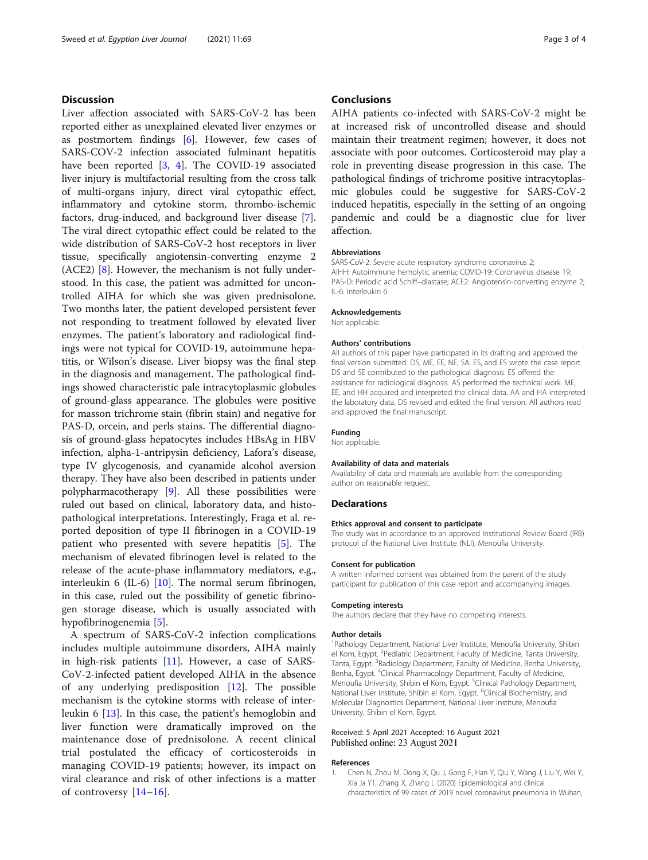## <span id="page-2-0"></span>**Discussion**

Liver affection associated with SARS-CoV-2 has been reported either as unexplained elevated liver enzymes or as postmortem findings  $[6]$  $[6]$ . However, few cases of SARS-COV-2 infection associated fulminant hepatitis have been reported [\[3,](#page-3-0) [4\]](#page-3-0). The COVID-19 associated liver injury is multifactorial resulting from the cross talk of multi-organs injury, direct viral cytopathic effect, inflammatory and cytokine storm, thrombo-ischemic factors, drug-induced, and background liver disease [\[7](#page-3-0)]. The viral direct cytopathic effect could be related to the wide distribution of SARS-CoV-2 host receptors in liver tissue, specifically angiotensin-converting enzyme 2 (ACE2) [[8](#page-3-0)]. However, the mechanism is not fully understood. In this case, the patient was admitted for uncontrolled AIHA for which she was given prednisolone. Two months later, the patient developed persistent fever not responding to treatment followed by elevated liver enzymes. The patient's laboratory and radiological findings were not typical for COVID-19, autoimmune hepatitis, or Wilson's disease. Liver biopsy was the final step in the diagnosis and management. The pathological findings showed characteristic pale intracytoplasmic globules of ground-glass appearance. The globules were positive for masson trichrome stain (fibrin stain) and negative for PAS-D, orcein, and perls stains. The differential diagnosis of ground-glass hepatocytes includes HBsAg in HBV infection, alpha-1-antripysin deficiency, Lafora's disease, type IV glycogenosis, and cyanamide alcohol aversion therapy. They have also been described in patients under polypharmacotherapy [[9\]](#page-3-0). All these possibilities were ruled out based on clinical, laboratory data, and histopathological interpretations. Interestingly, Fraga et al. reported deposition of type II fibrinogen in a COVID-19 patient who presented with severe hepatitis [\[5](#page-3-0)]. The mechanism of elevated fibrinogen level is related to the release of the acute-phase inflammatory mediators, e.g., interleukin 6 (IL-6) [[10](#page-3-0)]. The normal serum fibrinogen, in this case, ruled out the possibility of genetic fibrinogen storage disease, which is usually associated with hypofibrinogenemia [\[5](#page-3-0)].

A spectrum of SARS-CoV-2 infection complications includes multiple autoimmune disorders, AIHA mainly in high-risk patients [[11\]](#page-3-0). However, a case of SARS-CoV-2-infected patient developed AIHA in the absence of any underlying predisposition [\[12](#page-3-0)]. The possible mechanism is the cytokine storms with release of interleukin 6 [\[13\]](#page-3-0). In this case, the patient's hemoglobin and liver function were dramatically improved on the maintenance dose of prednisolone. A recent clinical trial postulated the efficacy of corticosteroids in managing COVID-19 patients; however, its impact on viral clearance and risk of other infections is a matter of controversy  $[14–16]$  $[14–16]$  $[14–16]$  $[14–16]$ .

## **Conclusions**

AIHA patients co-infected with SARS-CoV-2 might be at increased risk of uncontrolled disease and should maintain their treatment regimen; however, it does not associate with poor outcomes. Corticosteroid may play a role in preventing disease progression in this case. The pathological findings of trichrome positive intracytoplasmic globules could be suggestive for SARS-CoV-2 induced hepatitis, especially in the setting of an ongoing pandemic and could be a diagnostic clue for liver affection.

#### **Abbreviations**

SARS-CoV-2: Severe acute respiratory syndrome coronavirus 2; AIHH: Autoimmune hemolytic anemia; COVID-19: Coronavirus disease 19; PAS-D: Periodic acid Schiff–diastase; ACE2: Angiotensin-converting enzyme 2; IL-6: Interleukin 6

## Acknowledgements

Not applicable.

#### Authors' contributions

All authors of this paper have participated in its drafting and approved the final version submitted. DS, ME, EE, NE, SA, ES, and ES wrote the case report. DS and SE contributed to the pathological diagnosis. ES offered the assistance for radiological diagnosis. AS performed the technical work. ME, EE, and HH acquired and interpreted the clinical data. AA and HA interpreted the laboratory data. DS revised and edited the final version. All authors read and approved the final manuscript.

## Funding

Not applicable.

#### Availability of data and materials

Availability of data and materials are available from the corresponding author on reasonable request.

## **Declarations**

#### Ethics approval and consent to participate

The study was in accordance to an approved Institutional Review Board (IRB) protocol of the National Liver Institute (NLI), Menoufia University.

#### Consent for publication

A written informed consent was obtained from the parent of the study participant for publication of this case report and accompanying images.

#### Competing interests

The authors declare that they have no competing interests.

#### Author details

<sup>1</sup>Pathology Department, National Liver Institute, Menoufia University, Shibin el Kom, Egypt. <sup>2</sup>Pediatric Department, Faculty of Medicine, Tanta University Tanta, Egypt. <sup>3</sup>Radiology Department, Faculty of Medicine, Benha University Benha, Egypt. <sup>4</sup>Clinical Pharmacology Department, Faculty of Medicine, Menoufia University, Shibin el Kom, Egypt. <sup>5</sup>Clinical Pathology Department, National Liver Institute, Shibin el Kom, Egypt. <sup>6</sup>Clinical Biochemistry, and Molecular Diagnostics Department, National Liver Institute, Menoufia University, Shibin el Kom, Egypt.

#### Received: 5 April 2021 Accepted: 16 August 2021 Published online: 23 August 2021

#### References

1. Chen N, Zhou M, Dong X, Qu J, Gong F, Han Y, Qiu Y, Wang J, Liu Y, Wei Y, Xia Ja YT, Zhang X, Zhang L (2020) Epidemiological and clinical characteristics of 99 cases of 2019 novel coronavirus pneumonia in Wuhan,